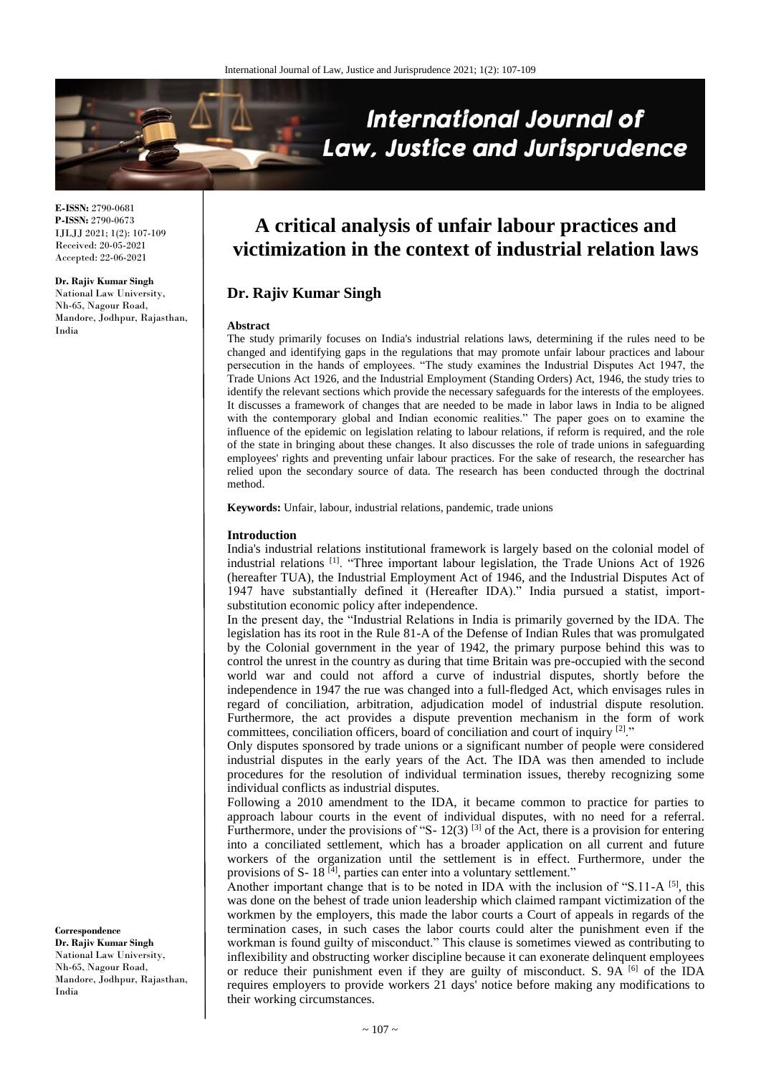

**E-ISSN:** 2790-0681 **P-ISSN:** 2790-0673 IJLJJ 2021; 1(2): 107-109 Received: 20-05-2021 Accepted: 22-06-2021

**Dr. Rajiv Kumar Singh** National Law University, Nh-65, Nagour Road, Mandore, Jodhpur, Rajasthan, India

# **A critical analysis of unfair labour practices and victimization in the context of industrial relation laws**

## **Dr. Rajiv Kumar Singh**

#### **Abstract**

The study primarily focuses on India's industrial relations laws, determining if the rules need to be changed and identifying gaps in the regulations that may promote unfair labour practices and labour persecution in the hands of employees. "The study examines the Industrial Disputes Act 1947, the Trade Unions Act 1926, and the Industrial Employment (Standing Orders) Act, 1946, the study tries to identify the relevant sections which provide the necessary safeguards for the interests of the employees. It discusses a framework of changes that are needed to be made in labor laws in India to be aligned with the contemporary global and Indian economic realities." The paper goes on to examine the influence of the epidemic on legislation relating to labour relations, if reform is required, and the role of the state in bringing about these changes. It also discusses the role of trade unions in safeguarding employees' rights and preventing unfair labour practices. For the sake of research, the researcher has relied upon the secondary source of data. The research has been conducted through the doctrinal method.

**Keywords:** Unfair, labour, industrial relations, pandemic, trade unions

### **Introduction**

India's industrial relations institutional framework is largely based on the colonial model of industrial relations [1] . "Three important labour legislation, the Trade Unions Act of 1926 (hereafter TUA), the Industrial Employment Act of 1946, and the Industrial Disputes Act of 1947 have substantially defined it (Hereafter IDA)." India pursued a statist, importsubstitution economic policy after independence.

In the present day, the "Industrial Relations in India is primarily governed by the IDA. The legislation has its root in the Rule 81-A of the Defense of Indian Rules that was promulgated by the Colonial government in the year of 1942, the primary purpose behind this was to control the unrest in the country as during that time Britain was pre-occupied with the second world war and could not afford a curve of industrial disputes, shortly before the independence in 1947 the rue was changed into a full-fledged Act, which envisages rules in regard of conciliation, arbitration, adjudication model of industrial dispute resolution. Furthermore, the act provides a dispute prevention mechanism in the form of work committees, conciliation officers, board of conciliation and court of inquiry [2]."

Only disputes sponsored by trade unions or a significant number of people were considered industrial disputes in the early years of the Act. The IDA was then amended to include procedures for the resolution of individual termination issues, thereby recognizing some individual conflicts as industrial disputes.

Following a 2010 amendment to the IDA, it became common to practice for parties to approach labour courts in the event of individual disputes, with no need for a referral. Furthermore, under the provisions of "S-  $12(3)$  <sup>[3]</sup> of the Act, there is a provision for entering into a conciliated settlement, which has a broader application on all current and future workers of the organization until the settlement is in effect. Furthermore, under the provisions of S- 18<sup>[4]</sup>, parties can enter into a voluntary settlement."

Another important change that is to be noted in IDA with the inclusion of "S.11-A  $^{[5]}$ , this was done on the behest of trade union leadership which claimed rampant victimization of the workmen by the employers, this made the labor courts a Court of appeals in regards of the termination cases, in such cases the labor courts could alter the punishment even if the workman is found guilty of misconduct." This clause is sometimes viewed as contributing to inflexibility and obstructing worker discipline because it can exonerate delinquent employees or reduce their punishment even if they are guilty of misconduct. S. 9A  $^{[6]}$  of the IDA requires employers to provide workers 21 days' notice before making any modifications to their working circumstances.

**Correspondence Dr. Rajiv Kumar Singh** National Law University, Nh-65, Nagour Road, Mandore, Jodhpur, Rajasthan, India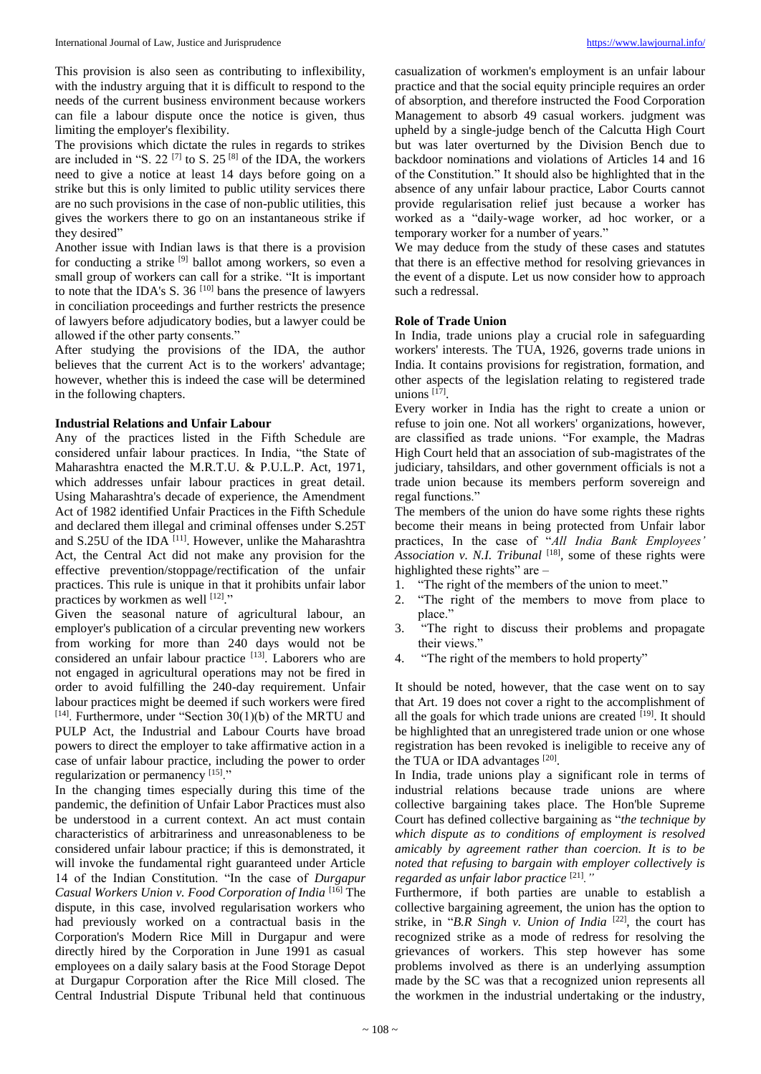This provision is also seen as contributing to inflexibility, with the industry arguing that it is difficult to respond to the needs of the current business environment because workers can file a labour dispute once the notice is given, thus limiting the employer's flexibility.

The provisions which dictate the rules in regards to strikes are included in "S. 22<sup> $[7]$ </sup> to S. 25<sup> $[8]$ </sup> of the IDA, the workers need to give a notice at least 14 days before going on a strike but this is only limited to public utility services there are no such provisions in the case of non-public utilities, this gives the workers there to go on an instantaneous strike if they desired"

Another issue with Indian laws is that there is a provision for conducting a strike [9] ballot among workers, so even a small group of workers can call for a strike. "It is important to note that the IDA's S.  $36^{[10]}$  bans the presence of lawyers in conciliation proceedings and further restricts the presence of lawyers before adjudicatory bodies, but a lawyer could be allowed if the other party consents."

After studying the provisions of the IDA, the author believes that the current Act is to the workers' advantage; however, whether this is indeed the case will be determined in the following chapters.

## **Industrial Relations and Unfair Labour**

Any of the practices listed in the Fifth Schedule are considered unfair labour practices. In India, "the State of Maharashtra enacted the M.R.T.U. & P.U.L.P. Act, 1971, which addresses unfair labour practices in great detail. Using Maharashtra's decade of experience, the Amendment Act of 1982 identified Unfair Practices in the Fifth Schedule and declared them illegal and criminal offenses under S.25T and S.25U of the IDA<sup>[11]</sup>. However, unlike the Maharashtra Act, the Central Act did not make any provision for the effective prevention/stoppage/rectification of the unfair practices. This rule is unique in that it prohibits unfair labor practices by workmen as well [12]."

Given the seasonal nature of agricultural labour, an employer's publication of a circular preventing new workers from working for more than 240 days would not be considered an unfair labour practice [13]. Laborers who are not engaged in agricultural operations may not be fired in order to avoid fulfilling the 240-day requirement. Unfair labour practices might be deemed if such workers were fired  $[14]$ . Furthermore, under "Section 30(1)(b) of the MRTU and PULP Act, the Industrial and Labour Courts have broad powers to direct the employer to take affirmative action in a case of unfair labour practice, including the power to order regularization or permanency [15]."

In the changing times especially during this time of the pandemic, the definition of Unfair Labor Practices must also be understood in a current context. An act must contain characteristics of arbitrariness and unreasonableness to be considered unfair labour practice; if this is demonstrated, it will invoke the fundamental right guaranteed under Article 14 of the Indian Constitution. "In the case of *Durgapur Casual Workers Union v. Food Corporation of India* [16] The dispute, in this case, involved regularisation workers who had previously worked on a contractual basis in the Corporation's Modern Rice Mill in Durgapur and were directly hired by the Corporation in June 1991 as casual employees on a daily salary basis at the Food Storage Depot at Durgapur Corporation after the Rice Mill closed. The Central Industrial Dispute Tribunal held that continuous

casualization of workmen's employment is an unfair labour practice and that the social equity principle requires an order of absorption, and therefore instructed the Food Corporation Management to absorb 49 casual workers. judgment was upheld by a single-judge bench of the Calcutta High Court but was later overturned by the Division Bench due to backdoor nominations and violations of Articles 14 and 16 of the Constitution." It should also be highlighted that in the absence of any unfair labour practice, Labor Courts cannot provide regularisation relief just because a worker has worked as a "daily-wage worker, ad hoc worker, or a temporary worker for a number of years."

We may deduce from the study of these cases and statutes that there is an effective method for resolving grievances in the event of a dispute. Let us now consider how to approach such a redressal.

## **Role of Trade Union**

In India, trade unions play a crucial role in safeguarding workers' interests. The TUA, 1926, governs trade unions in India. It contains provisions for registration, formation, and other aspects of the legislation relating to registered trade unions [17] .

Every worker in India has the right to create a union or refuse to join one. Not all workers' organizations, however, are classified as trade unions. "For example, the Madras High Court held that an association of sub-magistrates of the judiciary, tahsildars, and other government officials is not a trade union because its members perform sovereign and regal functions."

The members of the union do have some rights these rights become their means in being protected from Unfair labor practices, In the case of "*All India Bank Employees'*  Association v. N.I. Tribunal <sup>[18]</sup>, some of these rights were highlighted these rights" are -

- 1. "The right of the members of the union to meet."
- 2. "The right of the members to move from place to place."
- 3. "The right to discuss their problems and propagate their views."
- 4. "The right of the members to hold property"

It should be noted, however, that the case went on to say that Art. 19 does not cover a right to the accomplishment of all the goals for which trade unions are created [19]. It should be highlighted that an unregistered trade union or one whose registration has been revoked is ineligible to receive any of the TUA or IDA advantages [20].

In India, trade unions play a significant role in terms of industrial relations because trade unions are where collective bargaining takes place. The Hon'ble Supreme Court has defined collective bargaining as "*the technique by which dispute as to conditions of employment is resolved amicably by agreement rather than coercion. It is to be noted that refusing to bargain with employer collectively is regarded as unfair labor practice* [21] *."*

Furthermore, if both parties are unable to establish a collective bargaining agreement, the union has the option to strike, in "*B.R Singh v. Union of India* [22], the court has recognized strike as a mode of redress for resolving the grievances of workers. This step however has some problems involved as there is an underlying assumption made by the SC was that a recognized union represents all the workmen in the industrial undertaking or the industry,